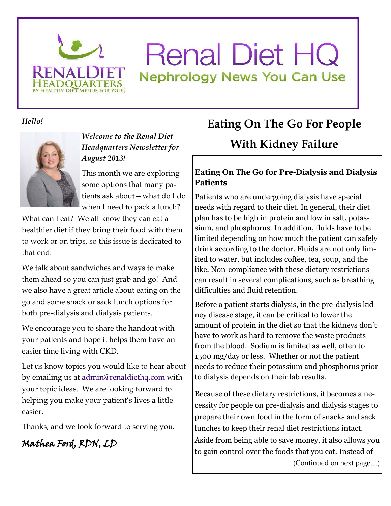

# **Renal Diet HQ Nephrology News You Can Use**

*Hello!* 



*Welcome to the Renal Diet Headquarters Newsletter for August 2013!* 

This month we are exploring some options that many patients ask about—what do I do when I need to pack a lunch?

What can I eat? We all know they can eat a healthier diet if they bring their food with them to work or on trips, so this issue is dedicated to that end.

We talk about sandwiches and ways to make them ahead so you can just grab and go! And we also have a great article about eating on the go and some snack or sack lunch options for both pre-dialysis and dialysis patients.

We encourage you to share the handout with your patients and hope it helps them have an easier time living with CKD.

Let us know topics you would like to hear about by emailing us at admin@renaldiethq.com with your topic ideas. We are looking forward to helping you make your patient's lives a little easier.

Thanks, and we look forward to serving you.

## Mathea Ford, RDN, LD

## **Eating On The Go For People With Kidney Failure**

#### **Eating On The Go for Pre-Dialysis and Dialysis Patients**

Patients who are undergoing dialysis have special needs with regard to their diet. In general, their diet plan has to be high in protein and low in salt, potassium, and phosphorus. In addition, fluids have to be limited depending on how much the patient can safely drink according to the doctor. Fluids are not only limited to water, but includes coffee, tea, soup, and the like. Non-compliance with these dietary restrictions can result in several complications, such as breathing difficulties and fluid retention.

Before a patient starts dialysis, in the pre-dialysis kidney disease stage, it can be critical to lower the amount of protein in the diet so that the kidneys don't have to work as hard to remove the waste products from the blood. Sodium is limited as well, often to 1500 mg/day or less. Whether or not the patient needs to reduce their potassium and phosphorus prior to dialysis depends on their lab results.

Because of these dietary restrictions, it becomes a necessity for people on pre-dialysis and dialysis stages to prepare their own food in the form of snacks and sack lunches to keep their renal diet restrictions intact. Aside from being able to save money, it also allows you to gain control over the foods that you eat. Instead of

(Continued on next page…)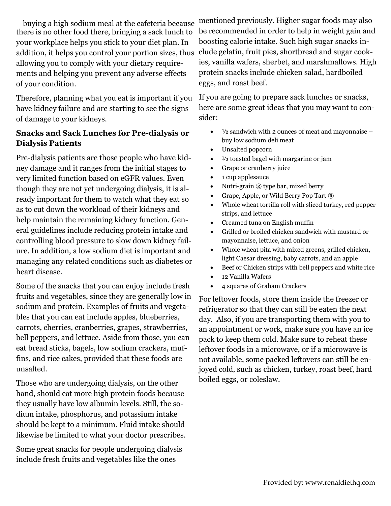buying a high sodium meal at the cafeteria because there is no other food there, bringing a sack lunch to your workplace helps you stick to your diet plan. In addition, it helps you control your portion sizes, thus allowing you to comply with your dietary requirements and helping you prevent any adverse effects of your condition.

Therefore, planning what you eat is important if you have kidney failure and are starting to see the signs of damage to your kidneys.

#### **Snacks and Sack Lunches for Pre-dialysis or Dialysis Patients**

Pre-dialysis patients are those people who have kidney damage and it ranges from the initial stages to very limited function based on eGFR values. Even though they are not yet undergoing dialysis, it is already important for them to watch what they eat so as to cut down the workload of their kidneys and help maintain the remaining kidney function. General guidelines include reducing protein intake and controlling blood pressure to slow down kidney failure. In addition, a low sodium diet is important and managing any related conditions such as diabetes or heart disease.

Some of the snacks that you can enjoy include fresh fruits and vegetables, since they are generally low in sodium and protein. Examples of fruits and vegetables that you can eat include apples, blueberries, carrots, cherries, cranberries, grapes, strawberries, bell peppers, and lettuce. Aside from those, you can eat bread sticks, bagels, low sodium crackers, muffins, and rice cakes, provided that these foods are unsalted.

Those who are undergoing dialysis, on the other hand, should eat more high protein foods because they usually have low albumin levels. Still, the sodium intake, phosphorus, and potassium intake should be kept to a minimum. Fluid intake should likewise be limited to what your doctor prescribes.

Some great snacks for people undergoing dialysis include fresh fruits and vegetables like the ones

mentioned previously. Higher sugar foods may also be recommended in order to help in weight gain and boosting calorie intake. Such high sugar snacks include gelatin, fruit pies, shortbread and sugar cookies, vanilla wafers, sherbet, and marshmallows. High protein snacks include chicken salad, hardboiled eggs, and roast beef.

If you are going to prepare sack lunches or snacks, here are some great ideas that you may want to consider:

- $\bullet$   $\frac{1}{2}$  sandwich with 2 ounces of meat and mayonnaise buy low sodium deli meat
- Unsalted popcorn
- $\bullet$   $\frac{1}{2}$  toasted bagel with margarine or jam
- Grape or cranberry juice
- 1 cup applesauce
- Nutri-grain ® type bar, mixed berry
- Grape, Apple, or Wild Berry Pop Tart ®
- Whole wheat tortilla roll with sliced turkey, red pepper strips, and lettuce
- Creamed tuna on English muffin
- Grilled or broiled chicken sandwich with mustard or mayonnaise, lettuce, and onion
- Whole wheat pita with mixed greens, grilled chicken, light Caesar dressing, baby carrots, and an apple
- Beef or Chicken strips with bell peppers and white rice
- 12 Vanilla Wafers
- 4 squares of Graham Crackers

For leftover foods, store them inside the freezer or refrigerator so that they can still be eaten the next day. Also, if you are transporting them with you to an appointment or work, make sure you have an ice pack to keep them cold. Make sure to reheat these leftover foods in a microwave, or if a microwave is not available, some packed leftovers can still be enjoyed cold, such as chicken, turkey, roast beef, hard boiled eggs, or coleslaw.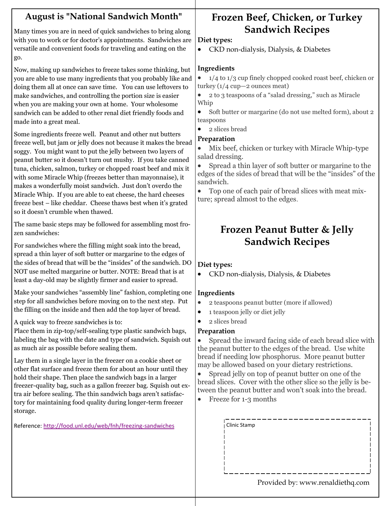#### **August is "National Sandwich Month"**

Many times you are in need of quick sandwiches to bring along with you to work or for doctor's appointments. Sandwiches are versatile and convenient foods for traveling and eating on the go.

Now, making up sandwiches to freeze takes some thinking, but you are able to use many ingredients that you probably like and doing them all at once can save time. You can use leftovers to make sandwiches, and controlling the portion size is easier when you are making your own at home. Your wholesome sandwich can be added to other renal diet friendly foods and made into a great meal.

Some ingredients freeze well. Peanut and other nut butters freeze well, but jam or jelly does not because it makes the bread soggy. You might want to put the jelly between two layers of peanut butter so it doesn't turn out mushy. If you take canned tuna, chicken, salmon, turkey or chopped roast beef and mix it with some Miracle Whip (freezes better than mayonnaise), it makes a wonderfully moist sandwich. Just don't overdo the Miracle Whip. If you are able to eat cheese, the hard cheeses freeze best – like cheddar. Cheese thaws best when it's grated so it doesn't crumble when thawed.

The same basic steps may be followed for assembling most frozen sandwiches:

For sandwiches where the filling might soak into the bread, spread a thin layer of soft butter or margarine to the edges of the sides of bread that will be the "insides" of the sandwich. DO NOT use melted margarine or butter. NOTE: Bread that is at least a day-old may be slightly firmer and easier to spread.

Make your sandwiches "assembly line" fashion, completing one step for all sandwiches before moving on to the next step. Put the filling on the inside and then add the top layer of bread.

#### A quick way to freeze sandwiches is to:

Place them in zip-top/self-sealing type plastic sandwich bags, labeling the bag with the date and type of sandwich. Squish out as much air as possible before sealing them.

Lay them in a single layer in the freezer on a cookie sheet or other flat surface and freeze them for about an hour until they hold their shape. Then place the sandwich bags in a larger freezer-quality bag, such as a gallon freezer bag. Squish out extra air before sealing. The thin sandwich bags aren't satisfactory for maintaining food quality during longer-term freezer storage.

Reference:<http://food.unl.edu/web/fnh/freezing-sandwiches>

## **Frozen Beef, Chicken, or Turkey Sandwich Recipes**

#### **Diet types:**

CKD non-dialysis, Dialysis, & Diabetes

#### **Ingredients**

 $\bullet$  1/4 to 1/3 cup finely chopped cooked roast beef, chicken or turkey (1/4 cup—2 ounces meat)

 2 to 3 teaspoons of a "salad dressing," such as Miracle Whip

 Soft butter or margarine (do not use melted form), about 2 teaspoons

• 2 slices bread

#### **Preparation**

 Mix beef, chicken or turkey with Miracle Whip-type salad dressing.

 Spread a thin layer of soft butter or margarine to the edges of the sides of bread that will be the "insides" of the sandwich.

 Top one of each pair of bread slices with meat mixture; spread almost to the edges.

### **Frozen Peanut Butter & Jelly Sandwich Recipes**

#### **Diet types:**

CKD non-dialysis, Dialysis, & Diabetes

#### **Ingredients**

- 2 teaspoons peanut butter (more if allowed)
- 1 teaspoon jelly or diet jelly
- 2 slices bread

#### **Preparation**

 Spread the inward facing side of each bread slice with the peanut butter to the edges of the bread. Use white bread if needing low phosphorus. More peanut butter may be allowed based on your dietary restrictions.

 Spread jelly on top of peanut butter on one of the bread slices. Cover with the other slice so the jelly is between the peanut butter and won't soak into the bread.

• Freeze for 1-3 months

| <b>Clinic Stamp</b>              |
|----------------------------------|
|                                  |
|                                  |
|                                  |
|                                  |
|                                  |
|                                  |
|                                  |
| Provided by: www.renaldiethq.com |